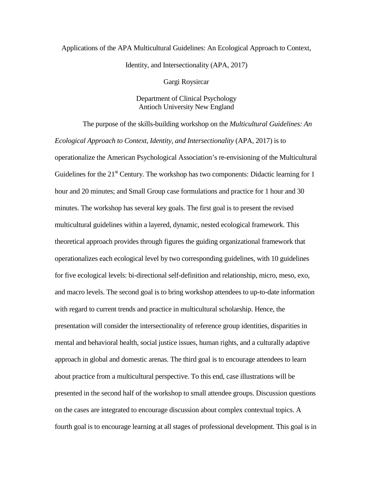## Applications of the APA Multicultural Guidelines: An Ecological Approach to Context, Identity, and Intersectionality (APA, 2017)

Gargi Roysircar

## Department of Clinical Psychology Antioch University New England

The purpose of the skills-building workshop on the *Multicultural Guidelines: An Ecological Approach to Context, Identity, and Intersectionality* (APA, 2017) is to operationalize the American Psychological Association's re-envisioning of the Multicultural Guidelines for the  $21<sup>st</sup>$  Century. The workshop has two components: Didactic learning for 1 hour and 20 minutes; and Small Group case formulations and practice for 1 hour and 30 minutes. The workshop has several key goals. The first goal is to present the revised multicultural guidelines within a layered, dynamic, nested ecological framework. This theoretical approach provides through figures the guiding organizational framework that operationalizes each ecological level by two corresponding guidelines, with 10 guidelines for five ecological levels: bi-directional self-definition and relationship, micro, meso, exo, and macro levels. The second goal is to bring workshop attendees to up-to-date information with regard to current trends and practice in multicultural scholarship. Hence, the presentation will consider the intersectionality of reference group identities, disparities in mental and behavioral health, social justice issues, human rights, and a culturally adaptive approach in global and domestic arenas. The third goal is to encourage attendees to learn about practice from a multicultural perspective. To this end, case illustrations will be presented in the second half of the workshop to small attendee groups. Discussion questions on the cases are integrated to encourage discussion about complex contextual topics. A fourth goal is to encourage learning at all stages of professional development. This goal is in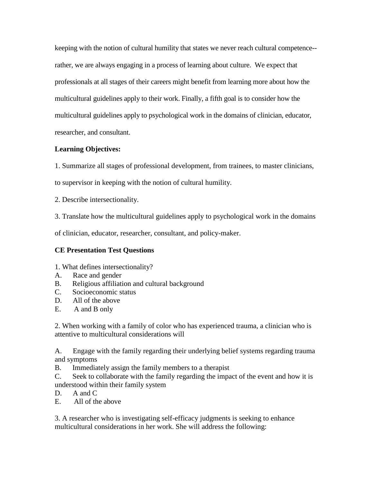keeping with the notion of cultural humility that states we never reach cultural competence- rather, we are always engaging in a process of learning about culture. We expect that professionals at all stages of their careers might benefit from learning more about how the multicultural guidelines apply to their work. Finally, a fifth goal is to consider how the multicultural guidelines apply to psychological work in the domains of clinician, educator, researcher, and consultant.

## **Learning Objectives:**

1. Summarize all stages of professional development, from trainees, to master clinicians,

to supervisor in keeping with the notion of cultural humility.

2. Describe intersectionality.

3. Translate how the multicultural guidelines apply to psychological work in the domains

of clinician, educator, researcher, consultant, and policy-maker.

## **CE Presentation Test Questions**

- 1. What defines intersectionality?
- A. Race and gender
- B. Religious affiliation and cultural background
- C. Socioeconomic status
- D. All of the above
- E. A and B only

2. When working with a family of color who has experienced trauma, a clinician who is attentive to multicultural considerations will

A. Engage with the family regarding their underlying belief systems regarding trauma and symptoms

B. Immediately assign the family members to a therapist

C. Seek to collaborate with the family regarding the impact of the event and how it is understood within their family system

D. A and C.

E. All of the above

3. A researcher who is investigating self-efficacy judgments is seeking to enhance multicultural considerations in her work. She will address the following: